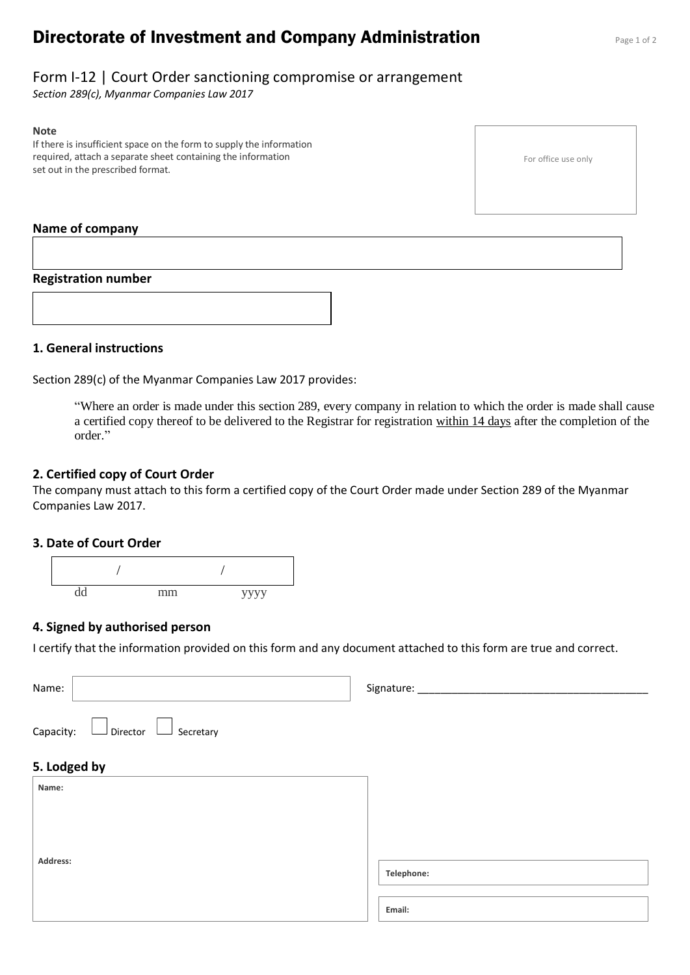# **Directorate of Investment and Company Administration** Page 1 of 2

## Form I-12 | Court Order sanctioning compromise or arrangement

*Section 289(c), Myanmar Companies Law 2017*

#### **Note**

If there is insufficient space on the form to supply the information required, attach a separate sheet containing the information set out in the prescribed format.

#### **Name of company**

#### **Registration number**



#### **1. General instructions**

Section 289(c) of the Myanmar Companies Law 2017 provides:

"Where an order is made under this section 289, every company in relation to which the order is made shall cause a certified copy thereof to be delivered to the Registrar for registration within 14 days after the completion of the order."

#### **2. Certified copy of Court Order**

The company must attach to this form a certified copy of the Court Order made under Section 289 of the Myanmar Companies Law 2017.

#### **3. Date of Court Order**



#### **4. Signed by authorised person**

I certify that the information provided on this form and any document attached to this form are true and correct.

| Name:                                                                    | Signature: |
|--------------------------------------------------------------------------|------------|
| $\Box$ Director<br>Capacity:<br>Secretary<br>$\mathcal{L}_{\mathcal{A}}$ |            |
| 5. Lodged by                                                             |            |
| Name:                                                                    |            |
|                                                                          |            |
|                                                                          |            |
| Address:                                                                 | Telephone: |
|                                                                          | Email:     |

For office use only